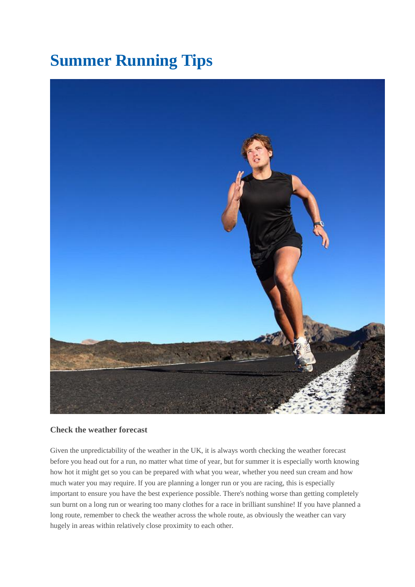# **Summer Running Tips**



## **Check the weather forecast**

Given the unpredictability of the weather in the UK, it is always worth checking the weather forecast before you head out for a run, no matter what time of year, but for summer it is especially worth knowing how hot it might get so you can be prepared with what you wear, whether you need sun cream and how much water you may require. If you are planning a longer run or you are racing, this is especially important to ensure you have the best experience possible. There's nothing worse than getting completely sun burnt on a long run or wearing too many clothes for a race in brilliant sunshine! If you have planned a long route, remember to check the weather across the whole route, as obviously the weather can vary hugely in areas within relatively close proximity to each other.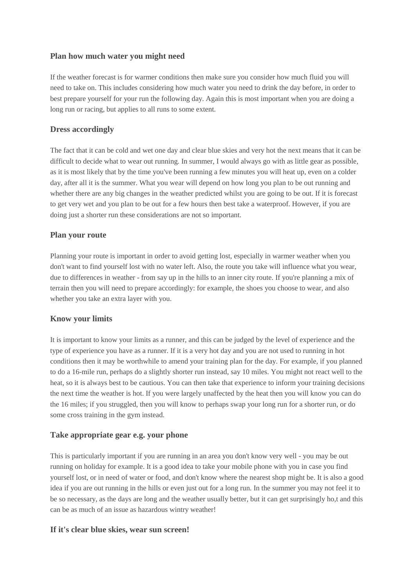## **Plan how much water you might need**

If the weather forecast is for warmer conditions then make sure you consider how much fluid you will need to take on. This includes considering how much water you need to drink the day before, in order to best prepare yourself for your run the following day. Again this is most important when you are doing a long run or racing, but applies to all runs to some extent.

### **Dress accordingly**

The fact that it can be cold and wet one day and clear blue skies and very hot the next means that it can be difficult to decide what to wear out running. In summer, I would always go with as little gear as possible, as it is most likely that by the time you've been running a few minutes you will heat up, even on a colder day, after all it is the summer. What you wear will depend on how long you plan to be out running and whether there are any big changes in the weather predicted whilst you are going to be out. If it is forecast to get very wet and you plan to be out for a few hours then best take a waterproof. However, if you are doing just a shorter run these considerations are not so important.

#### **Plan your route**

Planning your route is important in order to avoid getting lost, especially in warmer weather when you don't want to find yourself lost with no water left. Also, the route you take will influence what you wear, due to differences in weather - from say up in the hills to an inner city route. If you're planning a mix of terrain then you will need to prepare accordingly: for example, the shoes you choose to wear, and also whether you take an extra layer with you.

#### **Know your limits**

It is important to know your limits as a runner, and this can be judged by the level of experience and the type of experience you have as a runner. If it is a very hot day and you are not used to running in hot conditions then it may be worthwhile to amend your training plan for the day. For example, if you planned to do a 16-mile run, perhaps do a slightly shorter run instead, say 10 miles. You might not react well to the heat, so it is always best to be cautious. You can then take that experience to inform your training decisions the next time the weather is hot. If you were largely unaffected by the heat then you will know you can do the 16 miles; if you struggled, then you will know to perhaps swap your long run for a shorter run, or do some cross training in the gym instead.

#### **Take appropriate gear e.g. your phone**

This is particularly important if you are running in an area you don't know very well - you may be out running on holiday for example. It is a good idea to take your mobile phone with you in case you find yourself lost, or in need of water or food, and don't know where the nearest shop might be. It is also a good idea if you are out running in the hills or even just out for a long run. In the summer you may not feel it to be so necessary, as the days are long and the weather usually better, but it can get surprisingly ho,t and this can be as much of an issue as hazardous wintry weather!

#### **If it's clear blue skies, wear sun screen!**